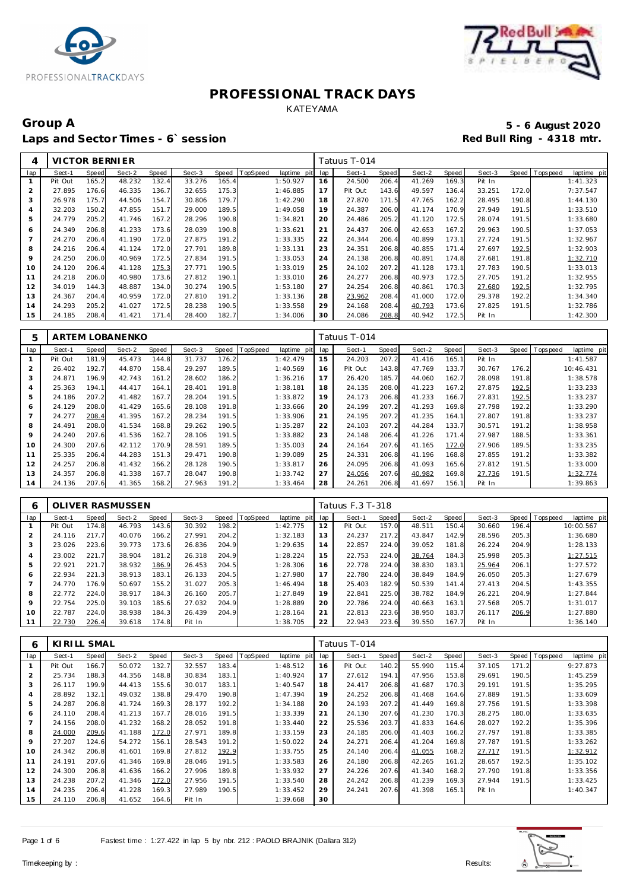



# Group A 5 - 6 August 2020<br>
Laps and Sector Times - 6`session **1990 and Sector Times - 6`session** Laps and Sector Times - 6`session

| 4   | VICTOR BERNIER |              |        |       |        |       |          |                |     | Tatuus T-014 |       |        |       |        |       |             |             |
|-----|----------------|--------------|--------|-------|--------|-------|----------|----------------|-----|--------------|-------|--------|-------|--------|-------|-------------|-------------|
| lap | Sect-1         | <b>Speed</b> | Sect-2 | Speed | Sect-3 | Speed | TopSpeed | laptime<br>pit | lap | Sect-1       | Speed | Sect-2 | Speed | Sect-3 | Speed | T ops pee d | laptime pit |
|     | Pit Out        | 165.2        | 48.232 | 132.4 | 33.276 | 165.4 |          | 1:50.927       | 16  | 24.500       | 206.4 | 41.269 | 169.3 | Pit In |       |             | 1:41.323    |
| 2   | 27.895         | 176.6        | 46.335 | 136.7 | 32.655 | 175.3 |          | 1:46.885       | 17  | Pit Out      | 143.6 | 49.597 | 136.4 | 33.251 | 172.0 |             | 7:37.547    |
| 3   | 26.978         | 175.7        | 44.506 | 154.7 | 30.806 | 179.7 |          | 1:42.290       | 18  | 27.870       | 171.5 | 47.765 | 162.2 | 28.495 | 190.8 |             | 1:44.130    |
| 4   | 32.203         | 150.2        | 47.855 | 151.7 | 29.000 | 189.5 |          | 1:49.058       | 19  | 24.387       | 206.0 | 41.174 | 170.9 | 27.949 | 191.5 |             | 1:33.510    |
| 5   | 24.779         | 205.2        | 41.746 | 167.2 | 28.296 | 190.8 |          | 1:34.821       | 20  | 24.486       | 205.2 | 41.120 | 172.5 | 28.074 | 191.5 |             | 1:33.680    |
| 6   | 24.349         | 206.8        | 41.233 | 173.6 | 28.039 | 190.8 |          | 1:33.621       | 21  | 24.437       | 206.0 | 42.653 | 167.2 | 29.963 | 190.5 |             | 1:37.053    |
|     | 24.270         | 206.4        | 41.190 | 172.C | 27.875 | 191.2 |          | 1:33.335       | 22  | 24.344       | 206.4 | 40.899 | 173.1 | 27.724 | 191.5 |             | 1:32.967    |
| 8   | 24.216         | 206.4        | 41.124 | 172.C | 27.791 | 189.8 |          | 1:33.131       | 23  | 24.351       | 206.8 | 40.855 | 171.4 | 27.697 | 192.5 |             | 1:32.903    |
| 9   | 24.250         | 206.0        | 40.969 | 172.5 | 27.834 | 191.5 |          | 1:33.053       | 24  | 24.138       | 206.8 | 40.891 | 174.8 | 27.681 | 191.8 |             | 1:32.710    |
| 10  | 24.120         | 206.4        | 41.128 | 175.3 | 27.771 | 190.5 |          | 1:33.019       | 25  | 24.102       | 207.2 | 41.128 | 173.1 | 27.783 | 190.5 |             | 1:33.013    |
| 11  | 24.218         | 206.0        | 40.980 | 173.6 | 27.812 | 190.1 |          | 1:33.010       | 26  | 24.277       | 206.8 | 40.973 | 172.5 | 27.705 | 191.2 |             | 1:32.955    |
| 12  | 34.019         | 144.3        | 48.887 | 134.0 | 30.274 | 190.5 |          | 1:53.180       | 27  | 24.254       | 206.8 | 40.861 | 170.3 | 27.680 | 192.5 |             | 1:32.795    |
| 13  | 24.367         | 204.4        | 40.959 | 172.0 | 27.810 | 191.2 |          | 1:33.136       | 28  | 23.962       | 208.4 | 41.000 | 172.0 | 29.378 | 192.2 |             | 1:34.340    |
| 14  | 24.293         | 205.2        | 41.027 | 172.5 | 28.238 | 190.5 |          | 1:33.558       | 29  | 24.168       | 208.4 | 40.793 | 173.6 | 27.825 | 191.5 |             | 1:32.786    |
| 15  | 24.185         | 208.4        | 41.421 | 171.4 | 28.400 | 182.7 |          | 1:34.006       | 30  | 24.086       | 208.8 | 40.942 | 172.5 | Pit In |       |             | 1:42.300    |

| 5       |         |       | ARTEM LOBANENKO |       |        |              |                 |                |     | Tatuus T-014 |       |        |       |        |       |             |             |
|---------|---------|-------|-----------------|-------|--------|--------------|-----------------|----------------|-----|--------------|-------|--------|-------|--------|-------|-------------|-------------|
| lap     | Sect-1  | Speed | Sect-2          | Speed | Sect-3 | <b>Speed</b> | <b>TopSpeed</b> | laptime<br>pit | lap | Sect-1       | Speed | Sect-2 | Speed | Sect-3 | Speed | T ops pee d | laptime pit |
|         | Pit Out | 181.9 | 45.473          | 144.8 | 31.737 | 176.2        |                 | 1:42.479       | 15  | 24.203       | 207.2 | 41.416 | 165.1 | Pit In |       |             | 1:41.587    |
| 2       | 26.402  | 192.7 | 44.870          | 158.4 | 29.297 | 189.5        |                 | 1:40.569       | 16  | Pit Out      | 143.8 | 47.769 | 133.7 | 30.767 | 176.2 |             | 10:46.431   |
| 3       | 24.871  | 196.9 | 42.743          | 161.2 | 28.602 | 186.2        |                 | 1:36.216       | 17  | 26.420       | 185.7 | 44.060 | 162.7 | 28.098 | 191.8 |             | 1:38.578    |
| 4       | 25.363  | 194.1 | 44.417          | 164.1 | 28.401 | 191.8        |                 | 1:38.181       | 18  | 24.135       | 208.0 | 41.223 | 167.2 | 27.875 | 192.5 |             | 1:33.233    |
| 5       | 24.186  | 207.2 | 41.482          | 167.7 | 28.204 | 191.5        |                 | 1:33.872       | 19  | 24.173       | 206.8 | 41.233 | 166.7 | 27.831 | 192.5 |             | 1:33.237    |
| 6       | 24.129  | 208.0 | 41.429          | 165.6 | 28.108 | 191.8        |                 | 1:33.666       | 20  | 24.199       | 207.2 | 41.293 | 169.8 | 27.798 | 192.2 |             | 1:33.290    |
|         | 24.277  | 208.4 | 41.395          | 167.2 | 28.234 | 191.5        |                 | 1:33.906       | 21  | 24.195       | 207.2 | 41.235 | 164.1 | 27.807 | 191.8 |             | 1:33.237    |
| 8       | 24.491  | 208.0 | 41.534          | 168.8 | 29.262 | 190.5        |                 | 1:35.287       | 22  | 24.103       | 207.2 | 44.284 | 133.7 | 30.571 | 191.2 |             | 1:38.958    |
| $\circ$ | 24.240  | 207.6 | 41.536          | 162.7 | 28.106 | 191.5        |                 | 1:33.882       | 23  | 24.148       | 206.4 | 41.226 | 171.4 | 27.987 | 188.5 |             | 1:33.361    |
| 10      | 24.300  | 207.6 | 42.112          | 170.9 | 28.591 | 189.5        |                 | 1:35.003       | 24  | 24.164       | 207.6 | 41.165 | 172.0 | 27.906 | 189.5 |             | 1:33.235    |
| 11      | 25.335  | 206.4 | 44.283          | 151.3 | 29.471 | 190.8        |                 | 1:39.089       | 25  | 24.331       | 206.8 | 41.196 | 168.8 | 27.855 | 191.2 |             | 1:33.382    |
| 12      | 24.257  | 206.8 | 41.432          | 166.2 | 28.128 | 190.5        |                 | 1:33.817       | 26  | 24.095       | 206.8 | 41.093 | 165.6 | 27.812 | 191.5 |             | 1:33.000    |
| 13      | 24.357  | 206.8 | 41.338          | 167.7 | 28.047 | 190.8        |                 | 1:33.742       | 27  | 24.056       | 207.6 | 40.982 | 169.8 | 27.736 | 191.5 |             | 1:32.774    |
| 14      | 24.136  | 207.6 | 41.365          | 168.2 | 27.963 | 191.2        |                 | 1:33.464       | 28  | 24.261       | 206.8 | 41.697 | 156.1 | Pit In |       |             | 1:39.863    |

| 6   |         |       | <b>OLIVER RASMUSSEN</b> |       |        |       |                |             |     | Tatuus F.3 T-318 |       |        |       |        |       |                               |
|-----|---------|-------|-------------------------|-------|--------|-------|----------------|-------------|-----|------------------|-------|--------|-------|--------|-------|-------------------------------|
| lap | Sect-1  | Speed | Sect-2                  | Speed | Sect-3 |       | Speed TopSpeed | laptime pit | lap | Sect-1           | Speed | Sect-2 | Speed | Sect-3 |       | Speed Topspeed<br>laptime pit |
|     | Pit Out | 174.8 | 46.793                  | 143.6 | 30.392 | 198.2 |                | 1:42.775    | 12  | Pit Out          | 157.0 | 48.511 | 150.4 | 30.660 | 196.4 | 10:00.567                     |
|     | 24.116  | 217.7 | 40.076                  | 166.2 | 27.991 | 204.2 |                | 1:32.183    | 13  | 24.237           | 217.2 | 43.847 | 142.9 | 28.596 | 205.3 | 1:36.680                      |
| 3   | 23.026  | 223.6 | 39.773                  | 173.6 | 26.836 | 204.9 |                | 1:29.635    | 14  | 22.857           | 224.0 | 39.052 | 181.8 | 26.224 | 204.9 | 1:28.133                      |
| 4   | 23.002  | 221.7 | 38.904                  | 181.2 | 26.318 | 204.9 |                | 1:28.224    | 15  | 22.753           | 224.0 | 38.764 | 184.3 | 25.998 | 205.3 | 1:27.515                      |
| 5   | 22.921  | 221.7 | 38.932                  | 186.9 | 26.453 | 204.5 |                | 1:28.306    | 16  | 22.778           | 224.0 | 38.830 | 183.1 | 25.964 | 206.1 | 1:27.572                      |
| 6   | 22.934  | 221.3 | 38.913                  | 183.1 | 26.133 | 204.5 |                | 1:27.980    | 17  | 22.780           | 224.0 | 38.849 | 184.9 | 26.050 | 205.3 | 1:27.679                      |
|     | 24.770  | 176.9 | 50.697                  | 155.2 | 31.027 | 205.3 |                | 1:46.494    | 18  | 25.403           | 182.9 | 50.539 | 141.4 | 27.413 | 204.5 | 1:43.355                      |
| 8   | 22.772  | 224.0 | 38.917                  | 184.3 | 26.160 | 205.7 |                | 1:27.849    | 19  | 22.841           | 225.0 | 38.782 | 184.9 | 26.221 | 204.9 | 1:27.844                      |
| 9   | 22.754  | 225.0 | 39.103                  | 185.6 | 27.032 | 204.9 |                | 1:28.889    | 20  | 22.786           | 224.0 | 40.663 | 163.1 | 27.568 | 205.7 | 1:31.017                      |
| 10  | 22.787  | 224.0 | 38.938                  | 184.3 | 26.439 | 204.9 |                | 1:28.164    | 21  | 22.813           | 223.6 | 38.950 | 183.7 | 26.117 | 206.9 | 1:27.880                      |
|     | 22.730  | 226.4 | 39.618                  | 174.8 | Pit In |       |                | 1:38.705    | 22  | 22.943           | 223.6 | 39.550 | 167.7 | Pit In |       | 1:36.140                      |

| 6   | KIRILL SMAL |       |        |       |        |       |                 |             |     | Tatuus T-014 |       |        |       |        |              |            |             |
|-----|-------------|-------|--------|-------|--------|-------|-----------------|-------------|-----|--------------|-------|--------|-------|--------|--------------|------------|-------------|
| lap | Sect-1      | Speed | Sect-2 | Speed | Sect-3 | Speed | <b>TopSpeed</b> | laptime pit | lap | Sect-1       | Speed | Sect-2 | Speed | Sect-3 | <b>Speed</b> | T ops peed | laptime pit |
|     | Pit Out     | 166.7 | 50.072 | 132.7 | 32.557 | 183.4 |                 | 1:48.512    | 16  | Pit Out      | 140.2 | 55.990 | 115.4 | 37.105 | 171.2        |            | 9:27.873    |
| 2   | 25.734      | 188.3 | 44.356 | 148.8 | 30.834 | 183.1 |                 | 1:40.924    | 17  | 27.612       | 194.1 | 47.956 | 153.8 | 29.691 | 190.5        |            | 1:45.259    |
| 3   | 26.117      | 199.9 | 44.413 | 155.6 | 30.017 | 183.1 |                 | 1:40.547    | 18  | 24.417       | 206.8 | 41.687 | 170.3 | 29.191 | 191.5        |            | 1:35.295    |
| 4   | 28.892      | 132.1 | 49.032 | 138.8 | 29.470 | 190.8 |                 | 1:47.394    | 19  | 24.252       | 206.8 | 41.468 | 164.6 | 27.889 | 191.5        |            | 1:33.609    |
| 5   | 24.287      | 206.8 | 41.724 | 169.3 | 28.177 | 192.2 |                 | 1:34.188    | 20  | 24.193       | 207.2 | 41.449 | 169.8 | 27.756 | 191.5        |            | 1:33.398    |
| 6   | 24.110      | 208.4 | 41.213 | 167.7 | 28.016 | 191.5 |                 | 1:33.339    | 21  | 24.130       | 207.6 | 41.230 | 170.3 | 28.275 | 180.0        |            | 1:33.635    |
|     | 24.156      | 208.0 | 41.232 | 168.2 | 28.052 | 191.8 |                 | 1:33.440    | 22  | 25.536       | 203.7 | 41.833 | 164.6 | 28.027 | 192.2        |            | 1:35.396    |
| 8   | 24.000      | 209.6 | 41.188 | 172.0 | 27.971 | 189.8 |                 | 1:33.159    | 23  | 24.185       | 206.0 | 41.403 | 166.2 | 27.797 | 191.8        |            | 1:33.385    |
| 9   | 27.207      | 124.6 | 54.272 | 156.1 | 28.543 | 191.2 |                 | 1:50.022    | 24  | 24.271       | 206.4 | 41.204 | 169.8 | 27.787 | 191.5        |            | 1:33.262    |
| 10  | 24.342      | 206.8 | 41.601 | 169.8 | 27.812 | 192.9 |                 | 1:33.755    | 25  | 24.140       | 206.4 | 41.055 | 168.2 | 27.717 | 191.5        |            | 1:32.912    |
| 11  | 24.191      | 207.6 | 41.346 | 169.8 | 28.046 | 191.5 |                 | 1:33.583    | 26  | 24.180       | 206.8 | 42.265 | 161.2 | 28.657 | 192.5        |            | 1:35.102    |
| 12  | 24.300      | 206.8 | 41.636 | 166.2 | 27.996 | 189.8 |                 | 1:33.932    | 27  | 24.226       | 207.6 | 41.340 | 168.2 | 27.790 | 191.8        |            | 1:33.356    |
| 13  | 24.238      | 207.2 | 41.346 | 172.0 | 27.956 | 191.5 |                 | 1:33.540    | 28  | 24.242       | 206.8 | 41.239 | 169.3 | 27.944 | 191.5        |            | 1:33.425    |
| 14  | 24.235      | 206.4 | 41.228 | 169.3 | 27.989 | 190.5 |                 | 1:33.452    | 29  | 24.241       | 207.6 | 41.398 | 165.1 | Pit In |              |            | 1:40.347    |
| 15  | 24.110      | 206.8 | 41.652 | 164.6 | Pit In |       |                 | 1:39.668    | 30  |              |       |        |       |        |              |            |             |

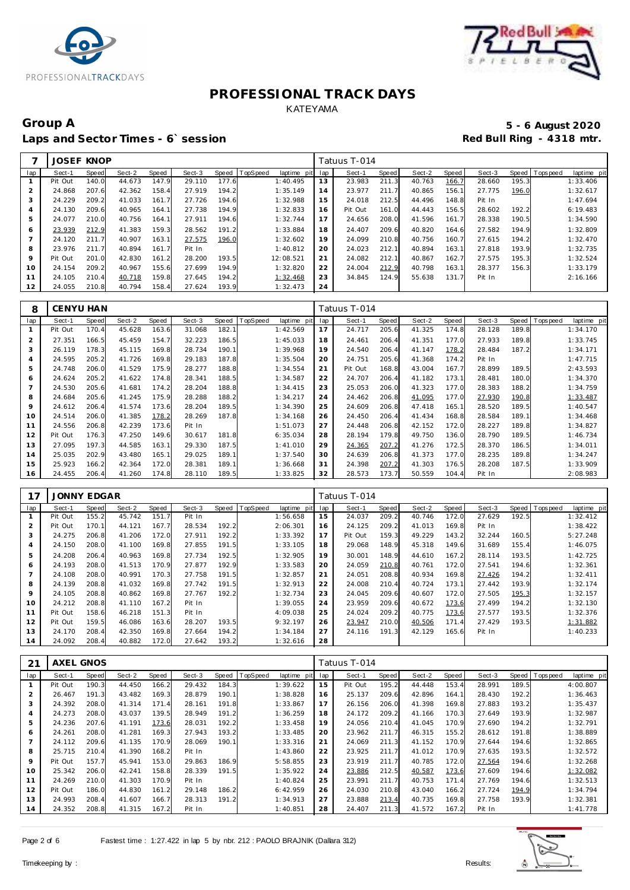



# Group A 5 - 6 August 2020<br>
Laps and Sector Times - 6`session **1990 and Sector Times - 6`session** Laps and Sector Times - 6`session

|     | <b>JOSEF KNOP</b> |       |        |       |        |       |          |             |     | Tatuus T-014 |       |        |       |        |       |                 |             |
|-----|-------------------|-------|--------|-------|--------|-------|----------|-------------|-----|--------------|-------|--------|-------|--------|-------|-----------------|-------------|
| lap | Sect-1            | Speed | Sect-2 | Speed | Sect-3 | Speed | TopSpeed | laptime pit | lap | Sect-1       | Speed | Sect-2 | Speed | Sect-3 |       | Speed Tops peed | laptime pit |
|     | Pit Out           | 140.0 | 44.673 | 147.9 | 29.110 | 177.6 |          | 1:40.495    | 13  | 23.983       | 211.3 | 40.763 | 166.7 | 28.660 | 195.3 |                 | 1:33.406    |
|     | 24.868            | 207.6 | 42.362 | 158.4 | 27.919 | 194.2 |          | 1:35.149    | 14  | 23.977       | 211.7 | 40.865 | 156.1 | 27.775 | 196.0 |                 | 1:32.617    |
| 3   | 24.229            | 209.2 | 41.033 | 161.7 | 27.726 | 194.6 |          | 1:32.988    | 15  | 24.018       | 212.5 | 44.496 | 148.8 | Pit In |       |                 | 1:47.694    |
| 4   | 24.130            | 209.6 | 40.965 | 164.1 | 27.738 | 194.9 |          | 1:32.833    | 16  | Pit Out      | 161.0 | 44.443 | 156.5 | 28.602 | 192.2 |                 | 6:19.483    |
| 5   | 24.077            | 210.0 | 40.756 | 164.1 | 27.911 | 194.6 |          | 1:32.744    | 17  | 24.656       | 208.0 | 41.596 | 161.7 | 28.338 | 190.5 |                 | 1:34.590    |
| 6   | 23.939            | 212.9 | 41.383 | 159.3 | 28.562 | 191.2 |          | 1:33.884    | 18  | 24.407       | 209.6 | 40.820 | 164.6 | 27.582 | 194.9 |                 | 1:32.809    |
|     | 24.120            | 211.7 | 40.907 | 163.1 | 27.575 | 196.0 |          | 1:32.602    | 19  | 24.099       | 210.8 | 40.756 | 160.7 | 27.615 | 194.2 |                 | 1:32.470    |
| 8   | 23.976            | 211.7 | 40.894 | 161.7 | Pit In |       |          | 1:40.812    | 20  | 24.023       | 212.1 | 40.894 | 163.1 | 27.818 | 193.9 |                 | 1:32.735    |
| 9   | Pit Out           | 201.0 | 42.830 | 161.2 | 28,200 | 193.5 |          | 12:08.521   | 21  | 24.082       | 212.1 | 40.867 | 162.7 | 27.575 | 195.3 |                 | 1:32.524    |
| 10  | 24.154            | 209.2 | 40.967 | 155.6 | 27.699 | 194.9 |          | 1:32.820    | 22  | 24.004       | 212.9 | 40.798 | 163.1 | 28.377 | 156.3 |                 | 1:33.179    |
| 11  | 24.105            | 210.4 | 40.718 | 159.8 | 27.645 | 194.2 |          | 1:32.468    | 23  | 34.845       | 124.9 | 55.638 | 131.7 | Pit In |       |                 | 2:16.166    |
| 12  | 24.055            | 210.8 | 40.794 | 158.4 | 27.624 | 193.9 |          | 1:32.473    | 24  |              |       |        |       |        |       |                 |             |

| 8              | CENYU HAN |       |        |       |        |       |          |             |     | Tatuus T-014 |       |        |       |        |       |             |             |
|----------------|-----------|-------|--------|-------|--------|-------|----------|-------------|-----|--------------|-------|--------|-------|--------|-------|-------------|-------------|
| lap            | Sect-1    | Speed | Sect-2 | Speed | Sect-3 | Speed | TopSpeed | laptime pit | lap | Sect-1       | Speed | Sect-2 | Speed | Sect-3 | Speed | T ops pee d | laptime pit |
|                | Pit Out   | 170.4 | 45.628 | 163.6 | 31.068 | 182.1 |          | 1:42.569    | 17  | 24.717       | 205.6 | 41.325 | 174.8 | 28.128 | 189.8 |             | 1:34.170    |
| $\overline{2}$ | 27.351    | 166.5 | 45.459 | 154.7 | 32.223 | 186.5 |          | 1:45.033    | 18  | 24.461       | 206.4 | 41.351 | 177.0 | 27.933 | 189.8 |             | 1:33.745    |
| 3              | 26.119    | 178.3 | 45.115 | 169.8 | 28.734 | 190.1 |          | 1:39.968    | 19  | 24.540       | 206.4 | 41.147 | 178.2 | 28.484 | 187.2 |             | 1:34.171    |
| 4              | 24.595    | 205.2 | 41.726 | 169.8 | 29.183 | 187.8 |          | 1:35.504    | 20  | 24.751       | 205.6 | 41.368 | 174.2 | Pit In |       |             | 1:47.715    |
| 5              | 24.748    | 206.0 | 41.529 | 175.9 | 28.277 | 188.8 |          | 1:34.554    | 21  | Pit Out      | 168.8 | 43.004 | 167.7 | 28.899 | 189.5 |             | 2:43.593    |
| 6              | 24.624    | 205.2 | 41.622 | 174.8 | 28.341 | 188.5 |          | 1:34.587    | 22  | 24.707       | 206.4 | 41.182 | 173.1 | 28.481 | 180.0 |             | 1:34.370    |
| 7              | 24.530    | 205.6 | 41.681 | 174.2 | 28.204 | 188.8 |          | 1:34.415    | 23  | 25.053       | 206.0 | 41.323 | 177.0 | 28.383 | 188.2 |             | 1:34.759    |
| 8              | 24.684    | 205.6 | 41.245 | 175.9 | 28.288 | 188.2 |          | 1:34.217    | 24  | 24.462       | 206.8 | 41.095 | 177.0 | 27.930 | 190.8 |             | 1:33.487    |
| 9              | 24.612    | 206.4 | 41.574 | 173.6 | 28.204 | 189.5 |          | 1:34.390    | 25  | 24.609       | 206.8 | 47.418 | 165.1 | 28.520 | 189.5 |             | 1:40.547    |
| 10             | 24.514    | 206.0 | 41.385 | 178.2 | 28.269 | 187.8 |          | 1:34.168    | 26  | 24.450       | 206.4 | 41.434 | 168.8 | 28.584 | 189.1 |             | 1:34.468    |
| 11             | 24.556    | 206.8 | 42.239 | 173.6 | Pit In |       |          | 1:51.073    | 27  | 24.448       | 206.8 | 42.152 | 172.0 | 28.227 | 189.8 |             | 1:34.827    |
| 12             | Pit Out   | 176.3 | 47.250 | 149.6 | 30.617 | 181.8 |          | 6:35.034    | 28  | 28.194       | 179.8 | 49.750 | 136.0 | 28.790 | 189.5 |             | 1:46.734    |
| 13             | 27.095    | 197.3 | 44.585 | 163.1 | 29.330 | 187.5 |          | 1:41.010    | 29  | 24.365       | 207.2 | 41.276 | 172.5 | 28.370 | 186.5 |             | 1:34.011    |
| 14             | 25.035    | 202.9 | 43.480 | 165.1 | 29.025 | 189.1 |          | 1:37.540    | 30  | 24.639       | 206.8 | 41.373 | 177.0 | 28.235 | 189.8 |             | 1:34.247    |
| 15             | 25.923    | 166.2 | 42.364 | 172.0 | 28.381 | 189.1 |          | 1:36.668    | 31  | 24.398       | 207.2 | 41.303 | 176.5 | 28.208 | 187.5 |             | 1:33.909    |
| 16             | 24.455    | 206.4 | 41.260 | 174.8 | 28.110 | 189.5 |          | 1:33.825    | 32  | 28.573       | 173.7 | 50.559 | 104.4 | Pit In |       |             | 2:08.983    |

| 17             | <b>JONNY EDGAR</b> |       |        |       |        |       |          |             |     | Tatuus T-014 |       |        |       |        |       |                |             |
|----------------|--------------------|-------|--------|-------|--------|-------|----------|-------------|-----|--------------|-------|--------|-------|--------|-------|----------------|-------------|
| lap            | Sect-1             | Speed | Sect-2 | Speed | Sect-3 | Speed | TopSpeed | laptime pit | lap | Sect-1       | Speed | Sect-2 | Speed | Sect-3 |       | Speed Topspeed | laptime pit |
|                | Pit Out            | 155.2 | 45.742 | 151.7 | Pit In |       |          | 1:56.658    | 15  | 24.037       | 209.2 | 40.746 | 172.0 | 27.629 | 192.5 |                | 1:32.412    |
| $\overline{2}$ | Pit Out            | 170.1 | 44.121 | 167.7 | 28.534 | 192.2 |          | 2:06.301    | 16  | 24.125       | 209.2 | 41.013 | 169.8 | Pit In |       |                | 1:38.422    |
| 3              | 24.275             | 206.8 | 41.206 | 172.0 | 27.911 | 192.2 |          | 1:33.392    | 17  | Pit Out      | 159.3 | 49.229 | 143.2 | 32.244 | 160.5 |                | 5:27.248    |
| $\overline{4}$ | 24.150             | 208.0 | 41.100 | 169.8 | 27.855 | 191.5 |          | 1:33.105    | 18  | 29.068       | 148.9 | 45.318 | 149.6 | 31.689 | 155.4 |                | 1:46.075    |
| 5              | 24.208             | 206.4 | 40.963 | 169.8 | 27.734 | 192.5 |          | 1:32.905    | 19  | 30.001       | 148.9 | 44.610 | 167.2 | 28.114 | 193.5 |                | 1:42.725    |
| 6              | 24.193             | 208.0 | 41.513 | 170.9 | 27.877 | 192.9 |          | 1:33.583    | 20  | 24.059       | 210.8 | 40.761 | 172.0 | 27.541 | 194.6 |                | 1:32.361    |
|                | 24.108             | 208.0 | 40.991 | 170.3 | 27.758 | 191.5 |          | 1:32.857    | 21  | 24.051       | 208.8 | 40.934 | 169.8 | 27.426 | 194.2 |                | 1:32.411    |
| 8              | 24.139             | 208.8 | 41.032 | 169.8 | 27.742 | 191.5 |          | 1:32.913    | 22  | 24.008       | 210.4 | 40.724 | 173.1 | 27.442 | 193.9 |                | 1:32.174    |
| $\circ$        | 24.105             | 208.8 | 40.862 | 169.8 | 27.767 | 192.2 |          | 1:32.734    | 23  | 24.045       | 209.6 | 40.607 | 172.0 | 27.505 | 195.3 |                | 1:32.157    |
| 10             | 24.212             | 208.8 | 41.110 | 167.2 | Pit In |       |          | 1:39.055    | 24  | 23.959       | 209.6 | 40.672 | 173.6 | 27.499 | 194.2 |                | 1:32.130    |
| 11             | Pit Out            | 158.6 | 46.218 | 151.3 | Pit In |       |          | 4:09.038    | 25  | 24.024       | 209.2 | 40.775 | 173.6 | 27.577 | 193.5 |                | 1:32.376    |
| 12             | Pit Out            | 159.5 | 46.086 | 163.6 | 28.207 | 193.5 |          | 9:32.197    | 26  | 23.947       | 210.0 | 40.506 | 171.4 | 27.429 | 193.5 |                | 1:31.882    |
| 13             | 24.170             | 208.4 | 42.350 | 169.8 | 27.664 | 194.2 |          | 1:34.184    | 27  | 24.116       | 191.3 | 42.129 | 165.6 | Pit In |       |                | 1:40.233    |
| 14             | 24.092             | 208.4 | 40.882 | 172.0 | 27.642 | 193.2 |          | 1:32.616    | 28  |              |       |        |       |        |       |                |             |

| 21             | <b>AXEL GNOS</b> |       |        |       |        |       |          |                |     | Tatuus T-014 |       |        |       |        |       |            |             |
|----------------|------------------|-------|--------|-------|--------|-------|----------|----------------|-----|--------------|-------|--------|-------|--------|-------|------------|-------------|
| lap            | Sect-1           | Speed | Sect-2 | Speed | Sect-3 | Speed | TopSpeed | laptime<br>pit | lap | Sect-1       | Speed | Sect-2 | Speed | Sect-3 | Speed | T ops peed | laptime pit |
|                | Pit Out          | 190.3 | 44.450 | 166.2 | 29.432 | 184.3 |          | 1:39.622       | 15  | Pit Out      | 195.2 | 44.448 | 153.4 | 28.991 | 189.5 |            | 4:00.807    |
| $\overline{2}$ | 26.467           | 191.3 | 43.482 | 169.3 | 28.879 | 190.1 |          | 1:38.828       | 16  | 25.137       | 209.6 | 42.896 | 164.1 | 28.430 | 192.2 |            | 1:36.463    |
| 3              | 24.392           | 208.0 | 41.314 | 171.4 | 28.161 | 191.8 |          | 1:33.867       | 17  | 26.156       | 206.0 | 41.398 | 169.8 | 27.883 | 193.2 |            | 1:35.437    |
| 4              | 24.273           | 208.0 | 43.037 | 139.5 | 28.949 | 191.2 |          | 1:36.259       | 18  | 24.172       | 209.2 | 41.166 | 170.3 | 27.649 | 193.9 |            | 1:32.987    |
| 5              | 24.236           | 207.6 | 41.191 | 173.6 | 28.031 | 192.2 |          | 1:33.458       | 19  | 24.056       | 210.4 | 41.045 | 170.9 | 27.690 | 194.2 |            | 1:32.791    |
| 6              | 24.261           | 208.0 | 41.281 | 169.3 | 27.943 | 193.2 |          | 1:33.485       | 20  | 23.962       | 211.7 | 46.315 | 155.2 | 28.612 | 191.8 |            | 1:38.889    |
| $\overline{7}$ | 24.112           | 209.6 | 41.135 | 170.9 | 28.069 | 190.1 |          | 1:33.316       | 21  | 24.069       | 211.3 | 41.152 | 170.9 | 27.644 | 194.6 |            | 1:32.865    |
| 8              | 25.715           | 210.4 | 41.390 | 168.2 | Pit In |       |          | 1:43.860       | 22  | 23.925       | 211.7 | 41.012 | 170.9 | 27.635 | 193.5 |            | 1:32.572    |
| 9              | Pit Out          | 157.7 | 45.941 | 153.0 | 29.863 | 186.9 |          | 5:58.855       | 23  | 23.919       | 211.7 | 40.785 | 172.0 | 27.564 | 194.6 |            | 1:32.268    |
| 10             | 25.342           | 206.0 | 42.241 | 158.8 | 28.339 | 191.5 |          | 1:35.922       | 24  | 23.886       | 212.5 | 40.587 | 173.6 | 27.609 | 194.6 |            | 1:32.082    |
| 11             | 24.269           | 210.0 | 41.303 | 170.9 | Pit In |       |          | 1:40.824       | 25  | 23.991       | 211.7 | 40.753 | 171.4 | 27.769 | 194.6 |            | 1:32.513    |
| 12             | Pit Out          | 186.0 | 44.830 | 161.2 | 29.148 | 186.2 |          | 6:42.959       | 26  | 24.030       | 210.8 | 43.040 | 166.2 | 27.724 | 194.9 |            | 1:34.794    |
| 13             | 24.993           | 208.4 | 41.607 | 166.7 | 28.313 | 191.2 |          | 1:34.913       | 27  | 23.888       | 213.4 | 40.735 | 169.8 | 27.758 | 193.9 |            | 1:32.381    |
| 14             | 24.352           | 208.8 | 41.315 | 167.2 | Pit In |       |          | 1:40.851       | 28  | 24.407       | 211.3 | 41.572 | 167.2 | Pit In |       |            | 1:41.778    |

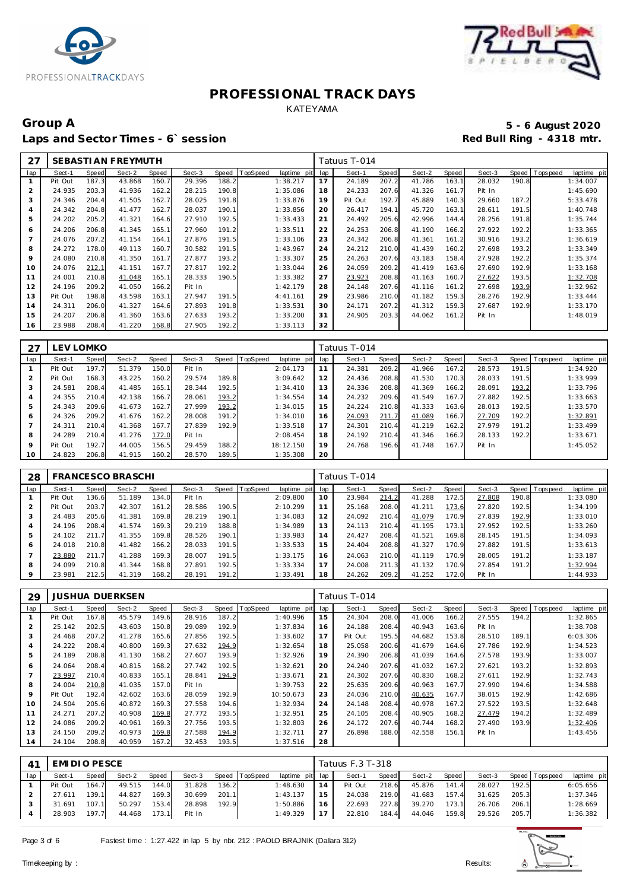



# Group A 5 - 6 August 2020<br>
Laps and Sector Times - 6`session **1990 and Sector Times - 6`session** Laps and Sector Times - 6`session

| 27             |         |              | SEBASTI AN FREYMUTH |       |        |       |          |             |     | Tatuus T-014 |       |        |       |        |       |             |             |
|----------------|---------|--------------|---------------------|-------|--------|-------|----------|-------------|-----|--------------|-------|--------|-------|--------|-------|-------------|-------------|
| lap            | Sect-1  | <b>Speed</b> | Sect-2              | Speed | Sect-3 | Speed | TopSpeed | laptime pit | lap | Sect-1       | Speed | Sect-2 | Speed | Sect-3 | Speed | T ops pee d | laptime pit |
|                | Pit Out | 187.3        | 43.868              | 160.7 | 29.396 | 188.2 |          | 1:38.217    | 17  | 24.189       | 207.2 | 41.786 | 163.1 | 28.032 | 190.8 |             | 1:34.007    |
| 2              | 24.935  | 203.3        | 41.936              | 162.2 | 28.215 | 190.8 |          | 1:35.086    | 18  | 24.233       | 207.6 | 41.326 | 161.7 | Pit In |       |             | 1:45.690    |
| 3              | 24.346  | 204.4        | 41.505              | 162.7 | 28.025 | 191.8 |          | 1:33.876    | 19  | Pit Out      | 192.7 | 45.889 | 140.3 | 29.660 | 187.2 |             | 5:33.478    |
| $\overline{4}$ | 24.342  | 204.8        | 41.477              | 162.7 | 28.037 | 190.1 |          | 1:33.856    | 20  | 26.417       | 194.1 | 45.720 | 163.1 | 28.611 | 191.5 |             | 1:40.748    |
| 5              | 24.202  | 205.2        | 41.321              | 164.6 | 27.910 | 192.5 |          | 1:33.433    | 21  | 24.492       | 205.6 | 42.996 | 144.4 | 28.256 | 191.8 |             | 1:35.744    |
| 6              | 24.206  | 206.8        | 41.345              | 165.  | 27.960 | 191.2 |          | 1:33.511    | 22  | 24.253       | 206.8 | 41.190 | 166.2 | 27.922 | 192.2 |             | 1:33.365    |
|                | 24.076  | 207.2        | 41.154              | 164.7 | 27.876 | 191.5 |          | 1:33.106    | 23  | 24.342       | 206.8 | 41.361 | 161.2 | 30.916 | 193.2 |             | 1:36.619    |
| 8              | 24.272  | 178.0        | 49.113              | 160.7 | 30.582 | 191.5 |          | 1:43.967    | 24  | 24.212       | 210.0 | 41.439 | 160.2 | 27.698 | 193.2 |             | 1:33.349    |
| 9              | 24.080  | 210.8        | 41.350              | 161.7 | 27.877 | 193.2 |          | 1:33.307    | 25  | 24.263       | 207.6 | 43.183 | 158.4 | 27.928 | 192.2 |             | 1:35.374    |
| 10             | 24.076  | 212.1        | 41.151              | 167.7 | 27.817 | 192.2 |          | 1:33.044    | 26  | 24.059       | 209.2 | 41.419 | 163.6 | 27.690 | 192.9 |             | 1:33.168    |
| 11             | 24.001  | 210.8        | 41.048              | 165.  | 28.333 | 190.5 |          | 1:33.382    | 27  | 23.923       | 208.8 | 41.163 | 160.7 | 27.622 | 193.5 |             | 1:32.708    |
| 12             | 24.196  | 209.2        | 41.050              | 166.2 | Pit In |       |          | 1:42.179    | 28  | 24.148       | 207.6 | 41.116 | 161.2 | 27.698 | 193.9 |             | 1:32.962    |
| 13             | Pit Out | 198.8        | 43.598              | 163.  | 27.947 | 191.5 |          | 4:41.161    | 29  | 23.986       | 210.0 | 41.182 | 159.3 | 28.276 | 192.9 |             | 1:33.444    |
| 14             | 24.311  | 206.0        | 41.327              | 164.6 | 27.893 | 191.8 |          | 1:33.531    | 30  | 24.171       | 207.2 | 41.312 | 159.3 | 27.687 | 192.9 |             | 1:33.170    |
| 15             | 24.207  | 206.8        | 41.360              | 163.6 | 27.633 | 193.2 |          | 1:33.200    | 31  | 24.905       | 203.3 | 44.062 | 161.2 | Pit In |       |             | 1:48.019    |
| 16             | 23.988  | 208.4        | 41.220              | 168.8 | 27.905 | 192.2 |          | 1:33.113    | 32  |              |       |        |       |        |       |             |             |

|     | LEV LOMKO |       |        |       |        |       |          |             |     | Tatuus T-014 |       |        |       |        |       |                |             |
|-----|-----------|-------|--------|-------|--------|-------|----------|-------------|-----|--------------|-------|--------|-------|--------|-------|----------------|-------------|
| lap | Sect-1    | Speed | Sect-2 | Speed | Sect-3 | Speed | TopSpeed | laptime pit | lap | Sect-1       | Speed | Sect-2 | Speed | Sect-3 |       | Speed Topspeed | laptime pit |
|     | Pit Out   | 197.7 | 51.379 | 150.0 | Pit In |       |          | 2:04.173    | 11  | 24.381       | 209.2 | 41.966 | 167.2 | 28.573 | 191.5 |                | 1:34.920    |
| 2   | Pit Out   | 168.3 | 43.225 | 160.2 | 29.574 | 189.8 |          | 3:09.642    | 12  | 24.436       | 208.8 | 41.530 | 170.3 | 28.033 | 191.5 |                | 1:33.999    |
|     | 24.581    | 208.4 | 41.485 | 165.1 | 28.344 | 192.5 |          | 1:34.410    | 13  | 24.336       | 208.8 | 41.369 | 166.2 | 28.091 | 193.2 |                | 1:33.796    |
|     | 24.355    | 210.4 | 42.138 | 166.7 | 28.061 | 193.2 |          | 1:34.554    | 14  | 24.232       | 209.6 | 41.549 | 167.7 | 27.882 | 192.5 |                | 1:33.663    |
| 5   | 24.343    | 209.6 | 41.673 | 162.7 | 27.999 | 193.2 |          | 1:34.015    | 15  | 24.224       | 210.8 | 41.333 | 163.6 | 28.013 | 192.5 |                | 1:33.570    |
| 6   | 24.326    | 209.2 | 41.676 | 162.2 | 28.008 | 191.2 |          | 1:34.010    | 16  | 24.093       | 211.7 | 41.089 | 166.7 | 27.709 | 192.2 |                | 1:32.891    |
|     | 24.311    | 210.4 | 41.368 | 167.7 | 27.839 | 192.9 |          | 1:33.518    | 17  | 24.301       | 210.4 | 41.219 | 162.2 | 27.979 | 191.2 |                | 1:33.499    |
| 8   | 24.289    | 210.4 | 41.276 | 172.0 | Pit In |       |          | 2:08.454    | 18  | 24.192       | 210.4 | 41.346 | 166.2 | 28.133 | 192.2 |                | 1:33.671    |
| 9   | Pit Out   | 192.7 | 44.005 | 156.5 | 29.459 | 188.2 |          | 18:12.150   | 19  | 24.768       | 196.6 | 41.748 | 167.7 | Pit In |       |                | 1:45.052    |
| 10  | 24.823    | 206.8 | 41.915 | 160.2 | 28.570 | 189.5 |          | 1:35.308    | 20  |              |       |        |       |        |       |                |             |

| 28  |         |       | <b>FRANCESCO BRASCHI</b> |       |        |       |                |             |     | Tatuus T-014 |       |        |       |        |       |                |             |
|-----|---------|-------|--------------------------|-------|--------|-------|----------------|-------------|-----|--------------|-------|--------|-------|--------|-------|----------------|-------------|
| lap | Sect-1  | Speed | Sect-2                   | Speed | Sect-3 |       | Speed TopSpeed | laptime pit | lap | Sect-1       | Speed | Sect-2 | Speed | Sect-3 |       | Speed Topspeed | laptime pit |
|     | Pit Out | 136.6 | 51.189                   | 134.0 | Pit In |       |                | 2:09.800    | 10  | 23.984       | 214.2 | 41.288 | 172.5 | 27.808 | 190.8 |                | 1:33.080    |
|     | Pit Out | 203.7 | 42.307                   | 161.2 | 28.586 | 190.5 |                | 2:10.299    | 11  | 25.168       | 208.0 | 41.211 | 173.6 | 27.820 | 192.5 |                | 1:34.199    |
|     | 24.483  | 205.6 | 41.381                   | 169.8 | 28.219 | 190.1 |                | 1:34.083    | 12  | 24.092       | 210.4 | 41.079 | 170.9 | 27.839 | 192.9 |                | 1:33.010    |
| 4   | 24.196  | 208.4 | 41.574                   | 169.3 | 29.219 | 188.8 |                | 1:34.989    | 13  | 24.113       | 210.4 | 41.195 | 173.1 | 27.952 | 192.5 |                | 1:33.260    |
| 5   | 24.102  | 211.7 | 41.355                   | 169.8 | 28.526 | 190.1 |                | 1:33.983    | 14  | 24.427       | 208.4 | 41.521 | 169.8 | 28.145 | 191.5 |                | 1:34.093    |
| 6   | 24.018  | 210.8 | 41.482                   | 166.2 | 28.033 | 191.5 |                | 1:33.533    | 15  | 24.404       | 208.8 | 41.327 | 170.9 | 27.882 | 191.5 |                | 1:33.613    |
|     | 23.880  | 211.7 | 41.288                   | 169.3 | 28.007 | 191.5 |                | 1:33.175    | 16  | 24.063       | 210.0 | 41.119 | 170.9 | 28.005 | 191.2 |                | 1:33.187    |
| 8   | 24.099  | 210.8 | 41.344                   | 168.8 | 27.891 | 192.5 |                | 1:33.334    | 17  | 24.008       | 211.3 | 41.132 | 170.9 | 27.854 | 191.2 |                | 1:32.994    |
| 9   | 23.981  | 212.5 | 41.319                   | 168.2 | 28.191 | 191.2 |                | 1:33.491    | 18  | 24.262       | 209.2 | 41.252 | 172.0 | Pit In |       |                | 1:44.933    |

| 29  |         |       | <b>JUSHUA DUERKSEN</b> |       |        |       |          |             |     | Tatuus T-014 |       |        |       |        |       |          |             |
|-----|---------|-------|------------------------|-------|--------|-------|----------|-------------|-----|--------------|-------|--------|-------|--------|-------|----------|-------------|
| lap | Sect-1  | Speed | Sect-2                 | Speed | Sect-3 | Speed | TopSpeed | laptime pit | lap | Sect-1       | Speed | Sect-2 | Speed | Sect-3 | Speed | Topspeed | laptime pit |
|     | Pit Out | 167.8 | 45.579                 | 149.6 | 28.916 | 187.2 |          | 1:40.996    | 15  | 24.304       | 208.0 | 41.006 | 166.2 | 27.555 | 194.2 |          | 1:32.865    |
| 2   | 25.142  | 202.5 | 43.603                 | 150.8 | 29.089 | 192.9 |          | 1:37.834    | 16  | 24.188       | 208.4 | 40.943 | 163.6 | Pit In |       |          | 1:38.708    |
| 3   | 24.468  | 207.2 | 41.278                 | 165.6 | 27.856 | 192.5 |          | 1:33.602    | 17  | Pit Out      | 195.5 | 44.682 | 153.8 | 28.510 | 189.1 |          | 6:03.306    |
| 4   | 24.222  | 208.4 | 40.800                 | 169.3 | 27.632 | 194.9 |          | 1:32.654    | 18  | 25.058       | 200.6 | 41.679 | 164.6 | 27.786 | 192.9 |          | 1:34.523    |
| 5   | 24.189  | 208.8 | 41.130                 | 168.2 | 27.607 | 193.9 |          | 1:32.926    | 19  | 24.390       | 206.8 | 41.039 | 164.6 | 27.578 | 193.9 |          | 1:33.007    |
| 6   | 24.064  | 208.4 | 40.815                 | 168.2 | 27.742 | 192.5 |          | 1:32.621    | 20  | 24.240       | 207.6 | 41.032 | 167.2 | 27.621 | 193.2 |          | 1:32.893    |
|     | 23.997  | 210.4 | 40.833                 | 165.1 | 28.841 | 194.9 |          | 1:33.671    | 21  | 24.302       | 207.6 | 40.830 | 168.2 | 27.611 | 192.9 |          | 1:32.743    |
| 8   | 24.004  | 210.8 | 41.035                 | 157.0 | Pit In |       |          | 1:39.753    | 22  | 25.635       | 209.6 | 40.963 | 167.7 | 27.990 | 194.6 |          | 1:34.588    |
| 9   | Pit Out | 192.4 | 42.602                 | 163.6 | 28.059 | 192.9 |          | 10:50.673   | 23  | 24.036       | 210.0 | 40.635 | 167.7 | 38.015 | 192.9 |          | 1:42.686    |
| 10  | 24.504  | 205.6 | 40.872                 | 169.3 | 27.558 | 194.6 |          | 1:32.934    | 24  | 24.148       | 208.4 | 40.978 | 167.2 | 27.522 | 193.5 |          | 1:32.648    |
| 11  | 24.271  | 207.2 | 40.908                 | 169.8 | 27.772 | 193.5 |          | 1:32.951    | 25  | 24.105       | 208.4 | 40.905 | 168.2 | 27.479 | 194.2 |          | 1:32.489    |
| 12  | 24.086  | 209.2 | 40.961                 | 169.3 | 27.756 | 193.5 |          | 1:32.803    | 26  | 24.172       | 207.6 | 40.744 | 168.2 | 27.490 | 193.9 |          | 1:32.406    |
| 13  | 24.150  | 209.2 | 40.973                 | 169.8 | 27.588 | 194.9 |          | 1:32.711    | 27  | 26.898       | 188.0 | 42.558 | 156.1 | Pit In |       |          | 1:43.456    |
| 14  | 24.104  | 208.8 | 40.959                 | 167.2 | 32.453 | 193.5 |          | 1:37.516    | 28  |              |       |        |       |        |       |          |             |

| 4 <sup>1</sup> | EMI DI O PESCE |       |        |       |        |       |                |                 |    | Tatuus F.3 T-318 |       |        |         |        |       |                 |             |
|----------------|----------------|-------|--------|-------|--------|-------|----------------|-----------------|----|------------------|-------|--------|---------|--------|-------|-----------------|-------------|
| lap            | Sect-1         | Speed | Sect-2 | Speed | Sect-3 |       | Speed TopSpeed | laptime pit lap |    | Sect-1           | Speed | Sect-2 | Speed I | Sect-3 |       | Speed Tops peed | laptime pit |
|                | Pit Out        | 164.7 | 49.515 | 144.0 | 31.828 | 136.2 |                | 1:48.630        | 14 | Pit Out          | 218.6 | 45.876 | 141.4   | 28.027 | 192.5 |                 | 6:05.656    |
|                | 27.611         | 139.1 | 44.827 | 169.3 | 30.699 | 201.1 |                | 1:43.137        | 15 | 24.038           | 219.0 | 41.683 | 157.4   | 31.625 | 205.3 |                 | 1:37.346    |
|                | 31.691         | 107.1 | 50.297 | 153.4 | 28.898 | 192.9 |                | 1:50.886        | 16 | 22.693           | 227.8 | 39.270 | 173.1   | 26.706 | 206.1 |                 | 1:28.669    |
|                | 28.903         | 197.7 | 44.468 | 173.1 | Pit In |       |                | 1:49.329        | 17 | 22.810           | 184.4 | 44.046 | 159.8   | 29.526 | 205.7 |                 | 1:36.382    |

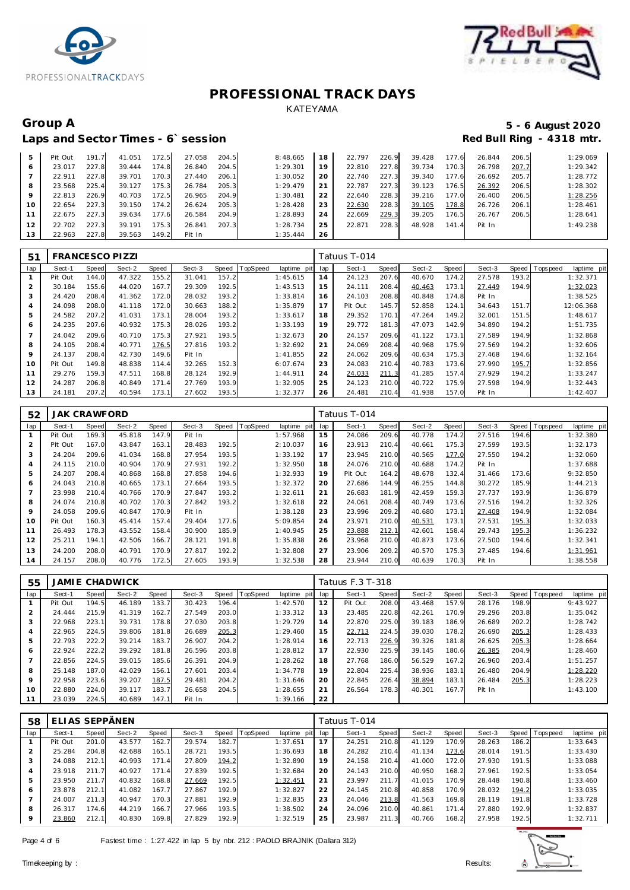



# Laps and Sector Times - 6`session

# Group A 5 - 6 August 2020<br>
Laps and Sector Times - 6`session **1990 and Sector Times - 6`session**

| 5  | Pit Out | 191.7 | 41.051 | 172.5 | 27.058 | 204.5 | 8:48.665 | 18 | 22.797 | 226.9 | 39.428 | 177.6 | 26.844 | 206.5 | 1:29.069 |
|----|---------|-------|--------|-------|--------|-------|----------|----|--------|-------|--------|-------|--------|-------|----------|
| O  | 23.017  | 227.8 | 39.444 | 174.8 | 26.840 | 204.5 | 1:29.301 | 19 | 22.810 | 227.8 | 39.734 | 170.3 | 26.798 | 207.7 | 1:29.342 |
|    | 22.911  | 227.8 | 39.701 | 170.3 | 27.440 | 206.1 | 1:30.052 | 20 | 22.740 | 227.3 | 39.340 | 177.6 | 26.692 | 205.7 | 1:28.772 |
| 8  | 23.568  | 225.4 | 39.127 | 175.3 | 26.784 | 205.3 | 1:29.479 | 21 | 22.787 | 227.3 | 39.123 | 176.5 | 26.392 | 206.5 | 1:28.302 |
| 9  | 22.813  | 226.9 | 40.703 | 172.5 | 26.965 | 204.9 | 1:30.481 | 22 | 22.640 | 228.3 | 39.216 | 77.0  | 26.400 | 206.5 | 1:28.256 |
| 10 | 22.654  | 227.3 | 39.150 | 174.2 | 26.624 | 205.3 | 1:28.428 | 23 | 22.630 | 228.3 | 39.105 | 178.8 | 26.726 | 206.1 | 1:28.461 |
| 11 | 22.675  | 227.3 | 39.634 | 177.6 | 26.584 | 204.9 | 1:28.893 | 24 | 22.669 | 229.3 | 39.205 | 176.5 | 26.767 | 206.5 | 1:28.641 |
| 12 | 22.702  | 227.3 | 39.191 | 175.3 | 26.841 | 207.3 | 1:28.734 | 25 | 22.871 | 228.3 | 48.928 | 141.4 | Pit In |       | 1:49.238 |
| 13 | 22.963  | 227.8 | 39.563 | 149.2 | Pit In |       | 1:35.444 | 26 |        |       |        |       |        |       |          |

| 51             | <b>FRANCESCO PIZZI</b> |       |        |       |        |       |                |             |     | Tatuus T-014 |       |        |       |        |       |                               |
|----------------|------------------------|-------|--------|-------|--------|-------|----------------|-------------|-----|--------------|-------|--------|-------|--------|-------|-------------------------------|
| lap            | Sect-1                 | Speed | Sect-2 | Speed | Sect-3 |       | Speed TopSpeed | laptime pit | lap | Sect-1       | Speed | Sect-2 | Speed | Sect-3 |       | Speed Topspeed<br>laptime pit |
|                | Pit Out                | 144.0 | 47.322 | 155.2 | 31.041 | 157.2 |                | 1:45.615    | 14  | 24.123       | 207.6 | 40.670 | 174.2 | 27.578 | 193.2 | 1:32.371                      |
| 2              | 30.184                 | 155.6 | 44.020 | 167.7 | 29.309 | 192.5 |                | 1:43.513    | 15  | 24.111       | 208.4 | 40.463 | 173.1 | 27.449 | 194.9 | 1:32.023                      |
| 3              | 24.420                 | 208.4 | 41.362 | 172.0 | 28.032 | 193.2 |                | 1:33.814    | 16  | 24.103       | 208.8 | 40.848 | 174.8 | Pit In |       | 1:38.525                      |
| 4              | 24.098                 | 208.0 | 41.118 | 172.0 | 30.663 | 188.2 |                | 1:35.879    | 17  | Pit Out      | 145.7 | 52.858 | 124.1 | 34.643 | 151.7 | 12:06.368                     |
| 5              | 24.582                 | 207.2 | 41.031 | 173.1 | 28.004 | 193.2 |                | 1:33.617    | 18  | 29.352       | 170.1 | 47.264 | 149.2 | 32.001 | 151.5 | 1:48.617                      |
| 6              | 24.235                 | 207.6 | 40.932 | 175.3 | 28.026 | 193.2 |                | 1:33.193    | 19  | 29.772       | 181.3 | 47.073 | 142.9 | 34.890 | 194.2 | 1:51.735                      |
| $\overline{7}$ | 24.042                 | 209.6 | 40.710 | 175.3 | 27.921 | 193.5 |                | 1:32.673    | 20  | 24.157       | 209.6 | 41.122 | 173.1 | 27.589 | 194.9 | 1:32.868                      |
| 8              | 24.105                 | 208.4 | 40.771 | 176.5 | 27.816 | 193.2 |                | 1:32.692    | 21  | 24.069       | 208.4 | 40.968 | 175.9 | 27.569 | 194.2 | 1:32.606                      |
| 9              | 24.137                 | 208.4 | 42.730 | 149.6 | Pit In |       |                | 1:41.855    | 22  | 24.062       | 209.6 | 40.634 | 175.3 | 27.468 | 194.6 | 1:32.164                      |
| 10             | Pit Out                | 149.8 | 48.838 | 114.4 | 32.265 | 152.3 |                | 6:07.674    | 23  | 24.083       | 210.4 | 40.783 | 173.6 | 27.990 | 195.7 | 1:32.856                      |
| 11             | 29.276                 | 159.3 | 47.511 | 168.8 | 28.124 | 192.9 |                | 1:44.911    | 24  | 24.033       | 211.3 | 41.285 | 157.4 | 27.929 | 194.2 | 1:33.247                      |
| 12             | 24.287                 | 206.8 | 40.849 | 171.4 | 27.769 | 193.9 |                | 1:32.905    | 25  | 24.123       | 210.0 | 40.722 | 175.9 | 27.598 | 194.9 | 1:32.443                      |
| 13             | 24.181                 | 207.2 | 40.594 | 173.1 | 27.602 | 193.5 |                | 1:32.377    | 26  | 24.481       | 210.4 | 41.938 | 157.0 | Pit In |       | 1:42.407                      |

| 52                       | JAK CRAWFORD |              |        |       |        |       |                  |             |     | Tatuus T-014 |       |        |       |        |       |                |             |
|--------------------------|--------------|--------------|--------|-------|--------|-------|------------------|-------------|-----|--------------|-------|--------|-------|--------|-------|----------------|-------------|
| lap                      | Sect-1       | <b>Speed</b> | Sect-2 | Speed | Sect-3 |       | Speed   TopSpeed | laptime pit | lap | Sect-1       | Speed | Sect-2 | Speed | Sect-3 |       | Speed Topspeed | laptime pit |
|                          | Pit Out      | 169.3        | 45.818 | 147.9 | Pit In |       |                  | 1:57.968    | 15  | 24.086       | 209.6 | 40.778 | 174.2 | 27.516 | 194.6 |                | 1:32.380    |
| 2                        | Pit Out      | 167.0        | 43.847 | 163.1 | 28.483 | 192.5 |                  | 2:10.037    | 16  | 23.913       | 210.4 | 40.661 | 175.3 | 27.599 | 193.5 |                | 1:32.173    |
| 3                        | 24.204       | 209.6        | 41.034 | 168.8 | 27.954 | 193.5 |                  | 1:33.192    | 17  | 23.945       | 210.0 | 40.565 | 177.0 | 27.550 | 194.2 |                | 1:32.060    |
| 4                        | 24.115       | 210.0        | 40.904 | 170.9 | 27.931 | 192.2 |                  | 1:32.950    | 18  | 24.076       | 210.0 | 40.688 | 174.2 | Pit In |       |                | 1:37.688    |
| 5                        | 24.207       | 208.4        | 40.868 | 168.8 | 27.858 | 194.6 |                  | 1:32.933    | 19  | Pit Out      | 164.2 | 48.678 | 132.4 | 31.466 | 173.6 |                | 9:32.850    |
| 6                        | 24.043       | 210.8        | 40.665 | 173.1 | 27.664 | 193.5 |                  | 1:32.372    | 20  | 27.686       | 144.9 | 46.255 | 144.8 | 30.272 | 185.9 |                | 1:44.213    |
| $\overline{\phantom{a}}$ | 23.998       | 210.4        | 40.766 | 170.9 | 27.847 | 193.2 |                  | 1:32.611    | 21  | 26.683       | 181.9 | 42.459 | 159.3 | 27.737 | 193.9 |                | 1:36.879    |
| 8                        | 24.074       | 210.8        | 40.702 | 170.3 | 27.842 | 193.2 |                  | 1:32.618    | 22  | 24.061       | 208.4 | 40.749 | 173.6 | 27.516 | 194.2 |                | 1:32.326    |
| 9                        | 24.058       | 209.6        | 40.847 | 170.9 | Pit In |       |                  | 1:38.128    | 23  | 23.996       | 209.2 | 40.680 | 173.1 | 27.408 | 194.9 |                | 1:32.084    |
| 10                       | Pit Out      | 160.3        | 45.414 | 157.4 | 29.404 | 177.6 |                  | 5:09.854    | 24  | 23.971       | 210.0 | 40.531 | 173.1 | 27.531 | 195.3 |                | 1:32.033    |
|                          | 26.493       | 178.3        | 43.552 | 158.4 | 30.900 | 185.9 |                  | 1:40.945    | 25  | 23.888       | 212.1 | 42.601 | 158.4 | 29.743 | 195.3 |                | 1:36.232    |
| 12                       | 25.211       | 194.1        | 42.506 | 166.7 | 28.121 | 191.8 |                  | 1:35.838    | 26  | 23.968       | 210.0 | 40.873 | 173.6 | 27.500 | 194.6 |                | 1:32.341    |
| 13                       | 24.200       | 208.0        | 40.791 | 170.9 | 27.817 | 192.2 |                  | 1:32.808    | 27  | 23.906       | 209.2 | 40.570 | 175.3 | 27.485 | 194.6 |                | 1:31.961    |
| 14                       | 24.157       | 208.0        | 40.776 | 172.5 | 27.605 | 193.9 |                  | 1:32.538    | 28  | 23.944       | 210.0 | 40.639 | 170.3 | Pit In |       |                | 1:38.558    |

| 55             |         | JAMI E CHADWICK |        |       |        |       |          |             |     | Tatuus F.3 T-318 |       |        |       |        |       |                |             |
|----------------|---------|-----------------|--------|-------|--------|-------|----------|-------------|-----|------------------|-------|--------|-------|--------|-------|----------------|-------------|
| lap            | Sect-1  | Speed           | Sect-2 | Speed | Sect-3 | Speed | TopSpeed | laptime pit | lap | Sect-1           | Speed | Sect-2 | Speed | Sect-3 |       | Speed Topspeed | laptime pit |
|                | Pit Out | 194.5           | 46.189 | 133.7 | 30.423 | 196.4 |          | 1:42.570    | 12  | Pit Out          | 208.0 | 43.468 | 157.9 | 28.176 | 198.9 |                | 9:43.927    |
| $\overline{2}$ | 24.444  | 215.9           | 41.319 | 162.7 | 27.549 | 203.0 |          | 1:33.312    | 13  | 23.485           | 220.8 | 42.261 | 170.9 | 29.296 | 203.8 |                | 1:35.042    |
| 3              | 22.968  | 223.1           | 39.731 | 178.8 | 27.030 | 203.8 |          | 1:29.729    | 14  | 22.870           | 225.0 | 39.183 | 186.9 | 26.689 | 202.2 |                | 1:28.742    |
| 4              | 22.965  | 224.5           | 39.806 | 181.8 | 26.689 | 205.3 |          | 1:29.460    | 15  | 22.713           | 224.5 | 39.030 | 178.2 | 26.690 | 205.3 |                | 1:28.433    |
| 5              | 22.793  | 222.2           | 39.214 | 183.7 | 26.907 | 204.2 |          | 1:28.914    | 16  | 22.713           | 226.9 | 39.326 | 181.8 | 26.625 | 205.3 |                | 1:28.664    |
| 6              | 22.924  | 222.2           | 39.292 | 181.8 | 26.596 | 203.8 |          | 1:28.812    | 17  | 22.930           | 225.9 | 39.145 | 180.6 | 26.385 | 204.9 |                | 1:28.460    |
|                | 22.856  | 224.5           | 39.015 | 185.6 | 26.391 | 204.9 |          | 1:28.262    | 18  | 27.768           | 186.0 | 56.529 | 167.2 | 26.960 | 203.4 |                | 1:51.257    |
| 8              | 25.148  | 187.0           | 42.029 | 156.1 | 27.601 | 203.4 |          | 1:34.778    | 19  | 22.804           | 225.4 | 38.936 | 183.1 | 26.480 | 204.9 |                | 1:28.220    |
| 9              | 22.958  | 223.6           | 39.207 | 187.5 | 29.481 | 204.2 |          | 1:31.646    | 20  | 22.845           | 226.4 | 38.894 | 183.1 | 26.484 | 205.3 |                | 1:28.223    |
| 10             | 22.880  | 224.0           | 39.117 | 183.7 | 26.658 | 204.5 |          | 1:28.655    | 21  | 26.564           | 178.3 | 40.301 | 167.7 | Pit In |       |                | 1:43.100    |
| 11             | 23.039  | 224.5           | 40.689 | 147.1 | Pit In |       |          | 1:39.166    | 22  |                  |       |        |       |        |       |                |             |

| 58      | ELIAS SEPPÄNEN |       |        |       |        |       |                |             |     | Tatuus T-014 |       |        |                       |        |       |                 |             |
|---------|----------------|-------|--------|-------|--------|-------|----------------|-------------|-----|--------------|-------|--------|-----------------------|--------|-------|-----------------|-------------|
| lap     | Sect-1         | Speed | Sect-2 | Speed | Sect-3 |       | Speed TopSpeed | laptime pit | lap | Sect-1       | Speed | Sect-2 | Speed                 | Sect-3 |       | Speed Tops peed | laptime pit |
|         | Pit Out        | 201.0 | 43.577 | 162.7 | 29.574 | 182.7 |                | 1:37.651    | 17  | 24.251       | 210.8 | 41.129 | 170.9                 | 28.263 | 186.2 |                 | 1:33.643    |
|         | 25.284         | 204.8 | 42.688 | 165.1 | 28.721 | 193.5 |                | 1:36.693    | 18  | 24.282       | 210.4 | 41.134 | 73.6                  | 28.014 | 191.5 |                 | 1:33.430    |
| 3       | 24.088         | 212.1 | 40.993 | 171.4 | 27.809 | 194.2 |                | 1:32.890    | 19  | 24.158       | 210.4 | 41.000 | 172.0                 | 27.930 | 191.5 |                 | 1:33.088    |
| 4       | 23.918         | 211.7 | 40.927 | 171.4 | 27.839 | 192.5 |                | 1:32.684    | 20  | 24.143       | 210.0 | 40.950 | 168.2                 | 27.961 | 192.5 |                 | 1:33.054    |
| 5       | 23.950         | 211.7 | 40.832 | 168.8 | 27.669 | 192.5 |                | 1:32.451    | 21  | 23.997       | 211.7 | 41.015 | 170.9                 | 28.448 | 190.8 |                 | 1:33.460    |
| 6       | 23.878         | 212.1 | 41.082 | 167.7 | 27.867 | 192.9 |                | 1:32.827    | 22  | 24.145       | 210.8 | 40.858 | 170.9                 | 28.032 | 194.2 |                 | 1:33.035    |
|         | 24.007         | 211.3 | 40.947 | 170.3 | 27.881 | 192.9 |                | 1:32.835    | 23  | 24.046       | 213.8 | 41.563 | 169.8                 | 28.119 | 191.8 |                 | 1:33.728    |
| 8       | 26.317         | 174.6 | 44.219 | 166.7 | 27.966 | 193.5 |                | 1:38.502    | 24  | 24.096       | 210.0 | 40.861 | 171<br>$\overline{4}$ | 27.880 | 192.9 |                 | 1:32.837    |
| $\circ$ | 23.860         | 212.1 | 40.830 | 169.8 | 27.829 | 192.9 |                | 1:32.519    | 25  | 23.987       | 211.3 | 40.766 | 168.2                 | 27.958 | 192.5 |                 | 1:32.711    |

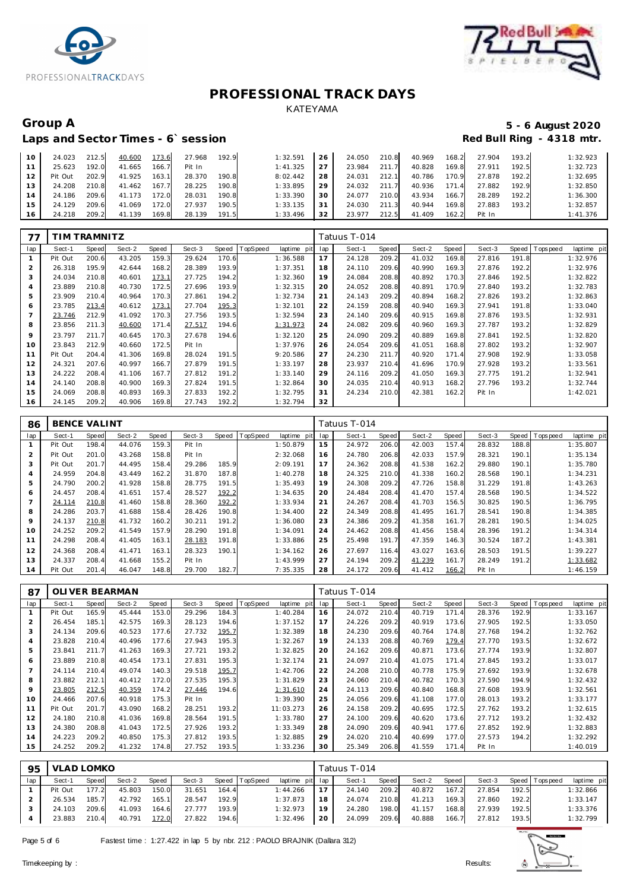



# Laps and Sector Times - 6`session

# Group A 5 - 6 August 2020<br>
Laps and Sector Times - 6`session **1990 and Sector Times - 6`session**

| 10 <sup>°</sup> | 24.023  | 212.5 | 40.600 | 173.6 | 27.968 | 192.9 | 1:32.591 | 26   | 24.050       | 210.8 | 40.969 | 168.2 | 27.904 | 193.2 | 1:32.923 |
|-----------------|---------|-------|--------|-------|--------|-------|----------|------|--------------|-------|--------|-------|--------|-------|----------|
| 11              | 25.623  | 192.0 | 41.665 | 166.7 | Pit In |       | 1:41.325 | 27   | 23.984       | 211.7 | 40.828 | 169.8 | 27.911 | 192.5 | 1:32.723 |
| 12 <sub>1</sub> | Pit Out | 202.9 | 41.925 | 163.1 | 28.370 | 190.8 | 8:02.442 | 28   | 24.031 212.1 |       | 40.786 | 170.9 | 27.878 | 192.2 | 1:32.695 |
| 13 <sup>1</sup> | 24.208  | 210.8 | 41.462 | 167.7 | 28.225 | 190.8 | 1:33.895 | 29.1 | 24.032 211.7 |       | 40.936 | 171.4 | 27.882 | 192.9 | 1:32.850 |
| 14              | 24.186  | 209.6 | 41.173 | 172.0 | 28.031 | 190.8 | 1:33.390 | 30   | 24.077       | 210.0 | 43.934 | 166.7 | 28.289 | 192.2 | 1:36.300 |
| 15 <sub>1</sub> | 24.129  | 209.6 | 41.069 | 172.0 | 27.937 | 190.5 | 1:33.135 | 31   | 24.030 211.3 |       | 40.944 | 169.8 | 27.883 | 193.2 | 1:32.857 |
| 16 <sup>1</sup> | 24.218  | 209.2 | 41.139 | 169.8 | 28.139 | 191.5 | 1:33.496 | 32   | 23.977 212.5 |       | 41.409 | 162.2 | Pit In |       | 1:41.376 |

| 77  | TIM TRAMNITZ |       |        |       |        |       |         |             |     | Tatuus T-014 |       |        |       |        |       |             |             |
|-----|--------------|-------|--------|-------|--------|-------|---------|-------------|-----|--------------|-------|--------|-------|--------|-------|-------------|-------------|
| lap | Sect-1       | Speed | Sect-2 | Speed | Sect-3 | Speed | opSpeed | laptime pit | lap | Sect-1       | Speed | Sect-2 | Speed | Sect-3 | Speed | T ops pee d | laptime pit |
|     | Pit Out      | 200.6 | 43.205 | 159.3 | 29.624 | 170.6 |         | 1:36.588    | 17  | 24.128       | 209.2 | 41.032 | 169.8 | 27.816 | 191.8 |             | 1:32.976    |
| 2   | 26.318       | 195.9 | 42.644 | 168.2 | 28.389 | 193.9 |         | 1:37.351    | 18  | 24.110       | 209.6 | 40.990 | 169.3 | 27.876 | 192.2 |             | 1:32.976    |
| 3   | 24.034       | 210.8 | 40.601 | 173.1 | 27.725 | 194.2 |         | 1:32.360    | 19  | 24.084       | 208.8 | 40.892 | 170.3 | 27.846 | 192.5 |             | 1:32.822    |
| 4   | 23.889       | 210.8 | 40.730 | 172.5 | 27.696 | 193.9 |         | 1:32.315    | 20  | 24.052       | 208.8 | 40.891 | 170.9 | 27.840 | 193.2 |             | 1:32.783    |
| 5   | 23.909       | 210.4 | 40.964 | 170.3 | 27.861 | 194.2 |         | 1:32.734    | 21  | 24.143       | 209.2 | 40.894 | 168.2 | 27.826 | 193.2 |             | 1:32.863    |
| 6   | 23.785       | 213.4 | 40.612 | 173.1 | 27.704 | 195.3 |         | 1:32.101    | 22  | 24.159       | 208.8 | 40.940 | 169.3 | 27.941 | 191.8 |             | 1:33.040    |
|     | 23.746       | 212.9 | 41.092 | 170.3 | 27.756 | 193.5 |         | 1:32.594    | 23  | 24.140       | 209.6 | 40.915 | 169.8 | 27.876 | 193.5 |             | 1:32.931    |
| 8   | 23.856       | 211.3 | 40.600 | 171.4 | 27.517 | 194.6 |         | 1:31.973    | 24  | 24.082       | 209.6 | 40.960 | 169.3 | 27.787 | 193.2 |             | 1:32.829    |
| 9   | 23.797       | 211.7 | 40.645 | 170.3 | 27.678 | 194.6 |         | 1:32.120    | 25  | 24.090       | 209.2 | 40.889 | 169.8 | 27.841 | 192.5 |             | 1:32.820    |
| 10  | 23.843       | 212.9 | 40.660 | 172.5 | Pit In |       |         | 1:37.976    | 26  | 24.054       | 209.6 | 41.051 | 168.8 | 27.802 | 193.2 |             | 1:32.907    |
| 11  | Pit Out      | 204.4 | 41.306 | 169.8 | 28.024 | 191.5 |         | 9:20.586    | 27  | 24.230       | 211.7 | 40.920 | 171.4 | 27.908 | 192.9 |             | 1:33.058    |
| 12  | 24.321       | 207.6 | 40.997 | 166.7 | 27.879 | 191.5 |         | 1:33.197    | 28  | 23.937       | 210.4 | 41.696 | 170.9 | 27.928 | 193.2 |             | 1:33.561    |
| 13  | 24.222       | 208.4 | 41.106 | 167.7 | 27.812 | 191.2 |         | 1:33.140    | 29  | 24.116       | 209.2 | 41.050 | 169.3 | 27.775 | 191.2 |             | 1:32.941    |
| 14  | 24.140       | 208.8 | 40.900 | 169.3 | 27.824 | 191.5 |         | 1:32.864    | 30  | 24.035       | 210.4 | 40.913 | 168.2 | 27.796 | 193.2 |             | 1:32.744    |
| 15  | 24.069       | 208.8 | 40.893 | 169.3 | 27.833 | 192.2 |         | 1:32.795    | 31  | 24.234       | 210.0 | 42.381 | 162.2 | Pit In |       |             | 1:42.021    |
| 16  | 24.145       | 209.2 | 40.906 | 169.8 | 27.743 | 192.2 |         | 1:32.794    | 32  |              |       |        |       |        |       |             |             |

| 86             | <b>BENCE VALINT</b> |       |        |       |        |       |          |             |     | Tatuus T-014 |       |        |       |        |       |                |             |
|----------------|---------------------|-------|--------|-------|--------|-------|----------|-------------|-----|--------------|-------|--------|-------|--------|-------|----------------|-------------|
| lap            | Sect-1              | Speed | Sect-2 | Speed | Sect-3 | Speed | TopSpeed | laptime pit | lap | Sect-1       | Speed | Sect-2 | Speed | Sect-3 |       | Speed Topspeed | laptime pit |
|                | Pit Out             | 198.4 | 44.076 | 159.3 | Pit In |       |          | 1:50.879    | 15  | 24.972       | 206.0 | 42.003 | 157.4 | 28.832 | 188.8 |                | 1:35.807    |
| 2              | Pit Out             | 201.0 | 43.268 | 158.8 | Pit In |       |          | 2:32.068    | 16  | 24.780       | 206.8 | 42.033 | 157.9 | 28.321 | 190.1 |                | 1:35.134    |
| 3              | Pit Out             | 201.7 | 44.495 | 158.4 | 29.286 | 185.9 |          | 2:09.191    | 17  | 24.362       | 208.8 | 41.538 | 162.2 | 29.880 | 190.1 |                | 1:35.780    |
| 4              | 24.959              | 204.8 | 43.449 | 162.2 | 31.870 | 187.8 |          | 1:40.278    | 18  | 24.325       | 210.0 | 41.338 | 160.2 | 28.568 | 190.1 |                | 1:34.231    |
| 5              | 24.790              | 200.2 | 41.928 | 158.8 | 28.775 | 191.5 |          | 1:35.493    | 19  | 24.308       | 209.2 | 47.726 | 158.8 | 31.229 | 191.8 |                | 1:43.263    |
| 6              | 24.457              | 208.4 | 41.651 | 157.4 | 28.527 | 192.2 |          | 1:34.635    | 20  | 24.484       | 208.4 | 41.470 | 157.4 | 28.568 | 190.5 |                | 1:34.522    |
| $\overline{7}$ | 24.114              | 210.8 | 41.460 | 158.8 | 28.360 | 192.2 |          | 1:33.934    | 21  | 24.267       | 208.4 | 41.703 | 156.5 | 30.825 | 190.5 |                | 1:36.795    |
| 8              | 24.286              | 203.7 | 41.688 | 158.4 | 28.426 | 190.8 |          | 1:34.400    | 22  | 24.349       | 208.8 | 41.495 | 161.7 | 28.541 | 190.8 |                | 1:34.385    |
| 9              | 24.137              | 210.8 | 41.732 | 160.2 | 30.211 | 191.2 |          | 1:36.080    | 23  | 24.386       | 209.2 | 41.358 | 161.7 | 28.281 | 190.5 |                | 1:34.025    |
| 10             | 24.252              | 209.2 | 41.549 | 157.9 | 28.290 | 191.8 |          | 1:34.091    | 24  | 24.462       | 208.8 | 41.456 | 158.4 | 28.396 | 191.2 |                | 1:34.314    |
| 11             | 24.298              | 208.4 | 41.405 | 163.1 | 28.183 | 191.8 |          | 1:33.886    | 25  | 25.498       | 191.7 | 47.359 | 146.3 | 30.524 | 187.2 |                | 1:43.381    |
| 12             | 24.368              | 208.4 | 41.471 | 163.1 | 28.323 | 190.1 |          | 1:34.162    | 26  | 27.697       | 116.4 | 43.027 | 163.6 | 28.503 | 191.5 |                | 1:39.227    |
| 13             | 24.337              | 208.4 | 41.668 | 155.2 | Pit In |       |          | 1:43.999    | 27  | 24.194       | 209.2 | 41.239 | 161.7 | 28.249 | 191.2 |                | 1:33.682    |
| 14             | Pit Out             | 201.4 | 46.047 | 148.8 | 29.700 | 182.7 |          | 7:35.335    | 28  | 24.172       | 209.6 | 41.412 | 166.2 | Pit In |       |                | 1:46.159    |

| 87  |         |       | OLI VER BEARMAN |       |        |       |                 |                |     | Tatuus T-014 |       |        |       |        |       |                 |             |
|-----|---------|-------|-----------------|-------|--------|-------|-----------------|----------------|-----|--------------|-------|--------|-------|--------|-------|-----------------|-------------|
| lap | Sect-1  | Speed | Sect-2          | Speed | Sect-3 | Speed | <b>TopSpeed</b> | laptime<br>pit | lap | Sect-1       | Speed | Sect-2 | Speed | Sect-3 |       | Speed Tops peed | laptime pit |
|     | Pit Out | 165.9 | 45.444          | 153.0 | 29.296 | 184.3 |                 | 1:40.284       | 16  | 24.072       | 210.4 | 40.719 | 171.4 | 28.376 | 192.9 |                 | 1:33.167    |
| 2   | 26.454  | 185.1 | 42.575          | 169.3 | 28.123 | 194.6 |                 | 1:37.152       | 17  | 24.226       | 209.2 | 40.919 | 173.6 | 27.905 | 192.5 |                 | 1:33.050    |
| 3   | 24.134  | 209.6 | 40.523          | 177.6 | 27.732 | 195.7 |                 | 1:32.389       | 18  | 24.230       | 209.6 | 40.764 | 174.8 | 27.768 | 194.2 |                 | 1:32.762    |
| 4   | 23.828  | 210.4 | 40.496          | 177.6 | 27.943 | 195.3 |                 | 1:32.267       | 19  | 24.133       | 208.8 | 40.769 | 179.4 | 27.770 | 193.5 |                 | 1:32.672    |
| 5   | 23.841  | 211.7 | 41.263          | 169.3 | 27.721 | 193.2 |                 | 1:32.825       | 20  | 24.162       | 209.6 | 40.871 | 173.6 | 27.774 | 193.9 |                 | 1:32.807    |
| 6   | 23.889  | 210.8 | 40.454          | 173.1 | 27.831 | 195.3 |                 | 1:32.174       | 21  | 24.097       | 210.4 | 41.075 | 171.4 | 27.845 | 193.2 |                 | 1:33.017    |
|     | 24.114  | 210.4 | 49.074          | 140.3 | 29.518 | 195.7 |                 | 1:42.706       | 22  | 24.208       | 210.0 | 40.778 | 175.9 | 27.692 | 193.9 |                 | 1:32.678    |
| 8   | 23.882  | 212.1 | 40.412          | 172.0 | 27.535 | 195.3 |                 | 1:31.829       | 23  | 24.060       | 210.4 | 40.782 | 170.3 | 27.590 | 194.9 |                 | 1:32.432    |
| 9   | 23.805  | 212.5 | 40.359          | 174.2 | 27.446 | 194.6 |                 | 1:31.610       | 24  | 24.113       | 209.6 | 40.840 | 168.8 | 27.608 | 193.9 |                 | 1:32.561    |
| 10  | 24.466  | 207.6 | 40.918          | 175.3 | Pit In |       |                 | 1:39.390       | 25  | 24.056       | 209.6 | 41.108 | 177.0 | 28.013 | 193.2 |                 | 1:33.177    |
| 11  | Pit Out | 201.7 | 43.090          | 168.2 | 28.251 | 193.2 |                 | 11:03.273      | 26  | 24.158       | 209.2 | 40.695 | 172.5 | 27.762 | 193.2 |                 | 1:32.615    |
| 12  | 24.180  | 210.8 | 41.036          | 169.8 | 28.564 | 191.5 |                 | 1:33.780       | 27  | 24.100       | 209.6 | 40.620 | 173.6 | 27.712 | 193.2 |                 | 1:32.432    |
| 13  | 24.380  | 208.8 | 41.043          | 172.5 | 27.926 | 193.2 |                 | 1:33.349       | 28  | 24.090       | 209.6 | 40.941 | 177.6 | 27.852 | 192.9 |                 | 1:32.883    |
| 14  | 24.223  | 209.2 | 40.850          | 175.3 | 27.812 | 193.5 |                 | 1:32.885       | 29  | 24.020       | 210.4 | 40.699 | 177.0 | 27.573 | 194.2 |                 | 1:32.292    |
| 15  | 24.252  | 209.2 | 41.232          | 174.8 | 27.752 | 193.5 |                 | 1:33.236       | 30  | 25.349       | 206.8 | 41.559 | 171.4 | Pit In |       |                 | 1:40.019    |

| 95  | VLAD LOMKO |       |        |       |        |       |                |                 |     | Tatuus T-014 |       |        |       |        |       |                |             |
|-----|------------|-------|--------|-------|--------|-------|----------------|-----------------|-----|--------------|-------|--------|-------|--------|-------|----------------|-------------|
| lap | Sect-1     | Speed | Sect-2 | Speed | Sect-3 |       | Speed TopSpeed | laptime pit lap |     | Sect-1       | Speed | Sect-2 | Speed | Sect-3 |       | Speed Topspeed | laptime pit |
|     | Pit Out    | 177.2 | 45.803 | 150.0 | 31.651 | 164.4 |                | 1:44.266        |     | 24.140       | 209.2 | 40.872 | 167.2 | 27.854 | 192.5 |                | 1:32.866    |
|     | 26.534     | 185.7 | 42.792 | 165.1 | 28.547 | 192.9 |                | 1:37.873        | 18  | 24.074       | 210.8 | 41.213 | 169.3 | 27.860 | 192.2 |                | 1:33.147    |
|     | 24.103     | 209.6 | 41.093 | 164.6 | 27.777 | 193.9 |                | 1:32.973        | 19  | 24.280       | 198.0 | 41.157 | 168.8 | 27.939 | 192.5 |                | 1:33.376    |
|     | 23.883     | 210.4 | 40.791 | 172.0 | 27.822 | 194.6 |                | 1:32.496        | -20 | 24.099       | 209.6 | 40.888 | 166.7 | 27.812 | 193.5 |                | 1:32.799    |